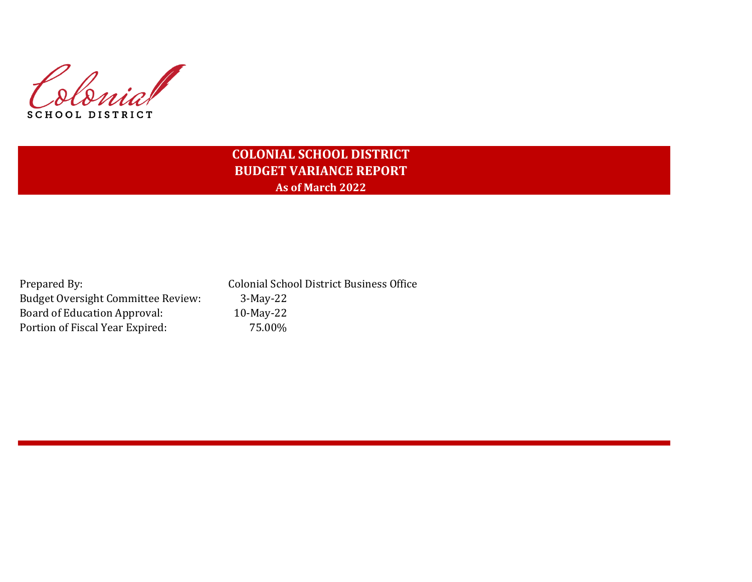Colonial **SCHOOL DISTRICT** 

## **COLONIAL SCHOOL DISTRICT BUDGET VARIANCE REPORT As of March 2022**

Budget Oversight Committee Review: 3-May-22 Board of Education Approval: 10-May-22 Portion of Fiscal Year Expired: 75.00%

Prepared By: Colonial School District Business Office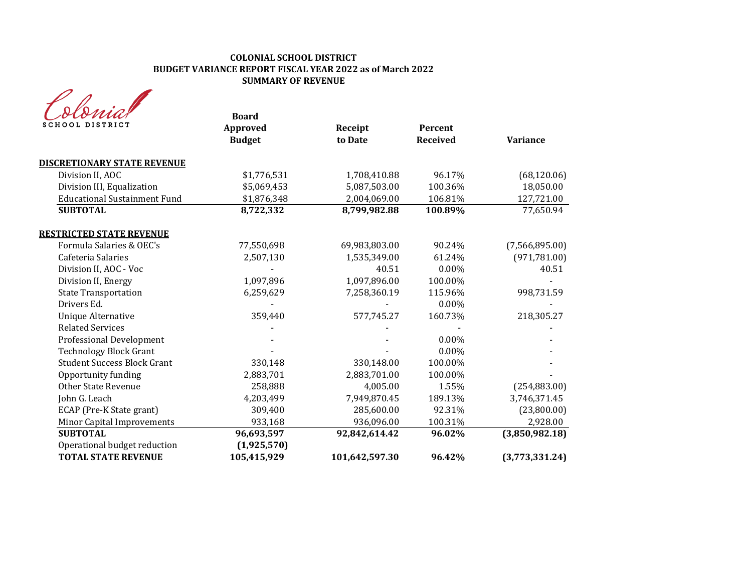| SCHOOL DISTRICT                     | <b>Board</b><br>Approved<br><b>Budget</b> | Receipt<br>to Date | Percent<br><b>Received</b> | <b>Variance</b> |
|-------------------------------------|-------------------------------------------|--------------------|----------------------------|-----------------|
| <b>DISCRETIONARY STATE REVENUE</b>  |                                           |                    |                            |                 |
| Division II, AOC                    | \$1,776,531                               | 1,708,410.88       | 96.17%                     | (68, 120.06)    |
| Division III, Equalization          | \$5,069,453                               | 5,087,503.00       | 100.36%                    | 18,050.00       |
| <b>Educational Sustainment Fund</b> | \$1,876,348                               | 2,004,069.00       | 106.81%                    | 127,721.00      |
| <b>SUBTOTAL</b>                     | 8,722,332                                 | 8,799,982.88       | 100.89%                    | 77,650.94       |
| <b>RESTRICTED STATE REVENUE</b>     |                                           |                    |                            |                 |
| Formula Salaries & OEC's            | 77,550,698                                | 69,983,803.00      | 90.24%                     | (7,566,895.00)  |
| Cafeteria Salaries                  | 2,507,130                                 | 1,535,349.00       | 61.24%                     | (971, 781.00)   |
| Division II, AOC - Voc              |                                           | 40.51              | $0.00\%$                   | 40.51           |
| Division II, Energy                 | 1,097,896                                 | 1,097,896.00       | 100.00%                    |                 |
| <b>State Transportation</b>         | 6,259,629                                 | 7,258,360.19       | 115.96%                    | 998,731.59      |
| Drivers Ed.                         |                                           |                    | $0.00\%$                   |                 |
| <b>Unique Alternative</b>           | 359,440                                   | 577,745.27         | 160.73%                    | 218,305.27      |
| <b>Related Services</b>             |                                           |                    |                            |                 |
| Professional Development            |                                           |                    | 0.00%                      |                 |
| <b>Technology Block Grant</b>       |                                           |                    | 0.00%                      |                 |
| <b>Student Success Block Grant</b>  | 330,148                                   | 330,148.00         | 100.00%                    |                 |
| Opportunity funding                 | 2,883,701                                 | 2,883,701.00       | 100.00%                    |                 |
| <b>Other State Revenue</b>          | 258,888                                   | 4,005.00           | 1.55%                      | (254, 883.00)   |
| John G. Leach                       | 4,203,499                                 | 7,949,870.45       | 189.13%                    | 3,746,371.45    |
| ECAP (Pre-K State grant)            | 309,400                                   | 285,600.00         | 92.31%                     | (23,800.00)     |
| Minor Capital Improvements          | 933,168                                   | 936,096.00         | 100.31%                    | 2,928.00        |
| <b>SUBTOTAL</b>                     | 96,693,597                                | 92,842,614.42      | 96.02%                     | (3,850,982.18)  |
| Operational budget reduction        | (1,925,570)                               |                    |                            |                 |
| <b>TOTAL STATE REVENUE</b>          | 105,415,929                               | 101,642,597.30     | 96.42%                     | (3,773,331.24)  |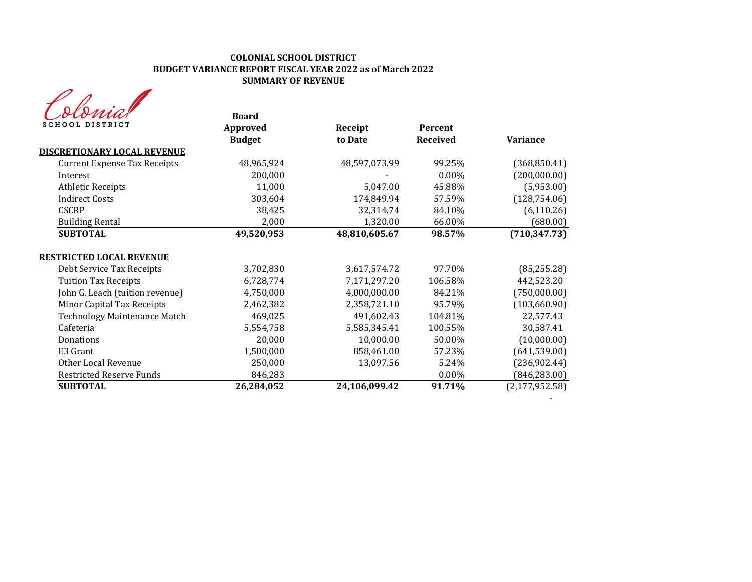| sma             |  |
|-----------------|--|
| SCHOOL DISTRICT |  |

| ocomar<br>SCHOOL DISTRICT           | <b>Board</b>  |               |                 |                  |
|-------------------------------------|---------------|---------------|-----------------|------------------|
|                                     | Approved      | Receipt       | Percent         |                  |
|                                     | <b>Budget</b> | to Date       | <b>Received</b> | Variance         |
| <b>DISCRETIONARY LOCAL REVENUE</b>  |               |               |                 |                  |
| <b>Current Expense Tax Receipts</b> | 48,965,924    | 48,597,073.99 | 99.25%          | (368, 850.41)    |
| Interest                            | 200,000       |               | $0.00\%$        | (200,000.00)     |
| <b>Athletic Receipts</b>            | 11,000        | 5,047.00      | 45.88%          | (5,953.00)       |
| <b>Indirect Costs</b>               | 303,604       | 174,849.94    | 57.59%          | (128, 754.06)    |
| <b>CSCRP</b>                        | 38,425        | 32,314.74     | 84.10%          | (6, 110.26)      |
| <b>Building Rental</b>              | 2,000         | 1,320.00      | 66.00%          | (680.00)         |
| <b>SUBTOTAL</b>                     | 49,520,953    | 48,810,605.67 | 98.57%          | (710, 347.73)    |
| <b>RESTRICTED LOCAL REVENUE</b>     |               |               |                 |                  |
| Debt Service Tax Receipts           | 3,702,830     | 3,617,574.72  | 97.70%          | (85, 255.28)     |
| <b>Tuition Tax Receipts</b>         | 6,728,774     | 7,171,297.20  | 106.58%         | 442,523.20       |
| John G. Leach (tuition revenue)     | 4,750,000     | 4,000,000.00  | 84.21%          | (750,000.00)     |
| Minor Capital Tax Receipts          | 2,462,382     | 2,358,721.10  | 95.79%          | (103, 660.90)    |
| Technology Maintenance Match        | 469,025       | 491,602.43    | 104.81%         | 22,577.43        |
| Cafeteria                           | 5,554,758     | 5,585,345.41  | 100.55%         | 30,587.41        |
| Donations                           | 20,000        | 10,000.00     | 50.00%          | (10,000.00)      |
| E3 Grant                            | 1,500,000     | 858,461.00    | 57.23%          | (641, 539.00)    |
| Other Local Revenue                 | 250,000       | 13,097.56     | 5.24%           | (236,902.44)     |
| <b>Restricted Reserve Funds</b>     | 846,283       |               | 0.00%           | (846, 283.00)    |
| <b>SUBTOTAL</b>                     | 26,284,052    | 24,106,099.42 | 91.71%          | (2, 177, 952.58) |
|                                     |               |               |                 |                  |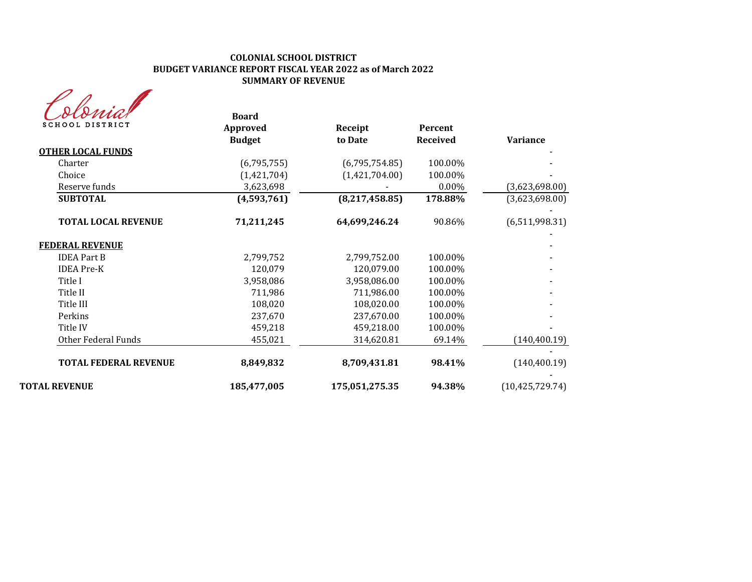| <b>SCHOOL DISTRICT</b>       | <b>Board</b><br>Approved<br><b>Budget</b> | Receipt<br>to Date | <b>Percent</b><br><b>Received</b> | Variance          |
|------------------------------|-------------------------------------------|--------------------|-----------------------------------|-------------------|
| <b>OTHER LOCAL FUNDS</b>     |                                           |                    |                                   |                   |
| Charter                      | (6,795,755)                               | (6,795,754.85)     | 100.00%                           |                   |
| Choice                       | (1,421,704)                               | (1,421,704.00)     | 100.00%                           |                   |
| Reserve funds                | 3,623,698                                 |                    | 0.00%                             | (3,623,698.00)    |
| <b>SUBTOTAL</b>              | (4,593,761)                               | (8, 217, 458.85)   | 178.88%                           | (3,623,698.00)    |
| <b>TOTAL LOCAL REVENUE</b>   | 71,211,245                                | 64,699,246.24      | 90.86%                            | (6,511,998.31)    |
| <b>FEDERAL REVENUE</b>       |                                           |                    |                                   |                   |
| <b>IDEA Part B</b>           | 2,799,752                                 | 2,799,752.00       | 100.00%                           |                   |
| <b>IDEA Pre-K</b>            | 120,079                                   | 120,079.00         | 100.00%                           |                   |
| Title I                      | 3,958,086                                 | 3,958,086.00       | 100.00%                           |                   |
| Title II                     | 711,986                                   | 711,986.00         | 100.00%                           |                   |
| Title III                    | 108,020                                   | 108,020.00         | 100.00%                           |                   |
| Perkins                      | 237,670                                   | 237,670.00         | 100.00%                           |                   |
| Title IV                     | 459,218                                   | 459,218.00         | 100.00%                           |                   |
| Other Federal Funds          | 455,021                                   | 314,620.81         | 69.14%                            | (140, 400.19)     |
| <b>TOTAL FEDERAL REVENUE</b> | 8,849,832                                 | 8,709,431.81       | 98.41%                            | (140, 400.19)     |
| <b>TOTAL REVENUE</b>         | 185,477,005                               | 175,051,275.35     | 94.38%                            | (10, 425, 729.74) |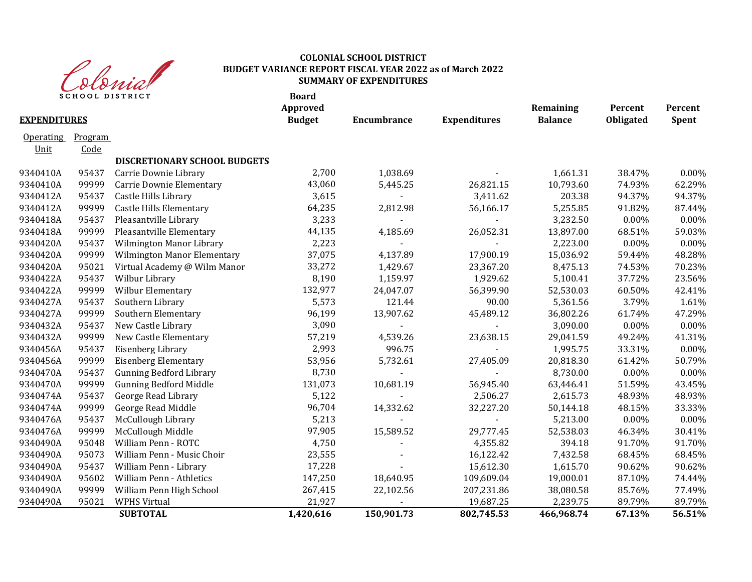

| SCHOOL DISTRICT<br><b>EXPENDITURES</b> |                 |                                | <b>Board</b><br>Approved<br><b>Budget</b> | <b>Encumbrance</b> | <b>Expenditures</b> | Remaining<br><b>Balance</b> | Percent<br>Obligated | Percent<br>Spent |
|----------------------------------------|-----------------|--------------------------------|-------------------------------------------|--------------------|---------------------|-----------------------------|----------------------|------------------|
| <b>Operating</b><br>Unit               | Program<br>Code |                                |                                           |                    |                     |                             |                      |                  |
|                                        |                 | DISCRETIONARY SCHOOL BUDGETS   |                                           |                    |                     |                             |                      |                  |
| 9340410A                               | 95437           | Carrie Downie Library          | 2,700                                     | 1,038.69           |                     | 1,661.31                    | 38.47%               | 0.00%            |
| 9340410A                               | 99999           | Carrie Downie Elementary       | 43,060                                    | 5,445.25           | 26,821.15           | 10,793.60                   | 74.93%               | 62.29%           |
| 9340412A                               | 95437           | Castle Hills Library           | 3,615                                     |                    | 3,411.62            | 203.38                      | 94.37%               | 94.37%           |
| 9340412A                               | 99999           | <b>Castle Hills Elementary</b> | 64,235                                    | 2,812.98           | 56,166.17           | 5,255.85                    | 91.82%               | 87.44%           |
| 9340418A                               | 95437           | Pleasantville Library          | 3,233                                     |                    |                     | 3,232.50                    | 0.00%                | 0.00%            |
| 9340418A                               | 99999           | Pleasantville Elementary       | 44,135                                    | 4,185.69           | 26,052.31           | 13,897.00                   | 68.51%               | 59.03%           |
| 9340420A                               | 95437           | Wilmington Manor Library       | 2,223                                     |                    |                     | 2,223.00                    | 0.00%                | 0.00%            |
| 9340420A                               | 99999           | Wilmington Manor Elementary    | 37,075                                    | 4,137.89           | 17,900.19           | 15,036.92                   | 59.44%               | 48.28%           |
| 9340420A                               | 95021           | Virtual Academy @ Wilm Manor   | 33,272                                    | 1,429.67           | 23,367.20           | 8,475.13                    | 74.53%               | 70.23%           |
| 9340422A                               | 95437           | Wilbur Library                 | 8,190                                     | 1,159.97           | 1,929.62            | 5,100.41                    | 37.72%               | 23.56%           |
| 9340422A                               | 99999           | Wilbur Elementary              | 132,977                                   | 24,047.07          | 56,399.90           | 52,530.03                   | 60.50%               | 42.41%           |
| 9340427A                               | 95437           | Southern Library               | 5,573                                     | 121.44             | 90.00               | 5,361.56                    | 3.79%                | 1.61%            |
| 9340427A                               | 99999           | Southern Elementary            | 96,199                                    | 13,907.62          | 45,489.12           | 36,802.26                   | 61.74%               | 47.29%           |
| 9340432A                               | 95437           | New Castle Library             | 3,090                                     |                    |                     | 3,090.00                    | $0.00\%$             | 0.00%            |
| 9340432A                               | 99999           | New Castle Elementary          | 57,219                                    | 4,539.26           | 23,638.15           | 29,041.59                   | 49.24%               | 41.31%           |
| 9340456A                               | 95437           | Eisenberg Library              | 2,993                                     | 996.75             |                     | 1,995.75                    | 33.31%               | 0.00%            |
| 9340456A                               | 99999           | <b>Eisenberg Elementary</b>    | 53,956                                    | 5,732.61           | 27,405.09           | 20,818.30                   | 61.42%               | 50.79%           |
| 9340470A                               | 95437           | <b>Gunning Bedford Library</b> | 8,730                                     |                    |                     | 8,730.00                    | 0.00%                | 0.00%            |
| 9340470A                               | 99999           | <b>Gunning Bedford Middle</b>  | 131,073                                   | 10,681.19          | 56,945.40           | 63,446.41                   | 51.59%               | 43.45%           |
| 9340474A                               | 95437           | George Read Library            | 5,122                                     |                    | 2,506.27            | 2,615.73                    | 48.93%               | 48.93%           |
| 9340474A                               | 99999           | George Read Middle             | 96,704                                    | 14,332.62          | 32,227.20           | 50,144.18                   | 48.15%               | 33.33%           |
| 9340476A                               | 95437           | McCullough Library             | 5,213                                     |                    |                     | 5,213.00                    | 0.00%                | 0.00%            |
| 9340476A                               | 99999           | McCullough Middle              | 97,905                                    | 15,589.52          | 29,777.45           | 52,538.03                   | 46.34%               | 30.41%           |
| 9340490A                               | 95048           | William Penn - ROTC            | 4,750                                     |                    | 4,355.82            | 394.18                      | 91.70%               | 91.70%           |
| 9340490A                               | 95073           | William Penn - Music Choir     | 23,555                                    |                    | 16,122.42           | 7,432.58                    | 68.45%               | 68.45%           |
| 9340490A                               | 95437           | William Penn - Library         | 17,228                                    |                    | 15,612.30           | 1,615.70                    | 90.62%               | 90.62%           |
| 9340490A                               | 95602           | William Penn - Athletics       | 147,250                                   | 18,640.95          | 109,609.04          | 19,000.01                   | 87.10%               | 74.44%           |
| 9340490A                               | 99999           | William Penn High School       | 267,415                                   | 22,102.56          | 207,231.86          | 38,080.58                   | 85.76%               | 77.49%           |
| 9340490A                               | 95021           | <b>WPHS Virtual</b>            | 21,927                                    |                    | 19,687.25           | 2,239.75                    | 89.79%               | 89.79%           |
|                                        |                 | <b>SUBTOTAL</b>                | 1,420,616                                 | 150,901.73         | 802,745.53          | 466,968.74                  | 67.13%               | 56.51%           |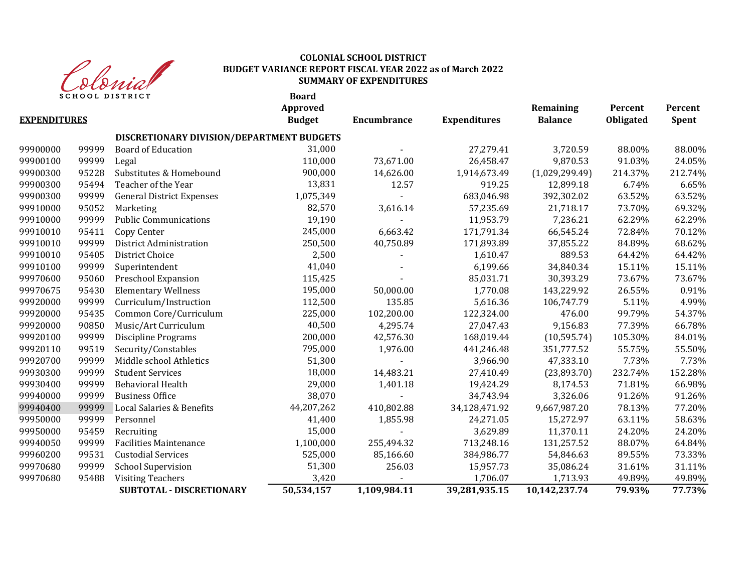

**Board Approved Remaining Percent Percent EXPENDITURES Budget Encumbrance Expenditures Balance Obligated Spent DISCRETIONARY DIVISION/DEPARTMENT BUDGETS** 99999 Board of Education 31,000 - 27,279.41 3,720.59 88.00% 88.00% 99999 Legal 110,000 73,671.00 26,458.47 9,870.53 91.03% 24.05% 95228 Substitutes & Homebound 900,000 14,626.00 1,914,673.49 (1,029,299.49) 214.37% 212.74% 95494 Teacher of the Year 13,831 12.57 919.25 12,899.18 6.74% 6.65% 99900300 99999 General District Expenses 1,075,349 - 683,046.98 392,302.02 63.52% 63.52% 95052 Marketing 82,570 3,616.14 57,235.69 21,718.17 73.70% 69.32% 99910000 99999 Public Communications 19,190 - 11,953.79 7,236.21 62.29% 62.29% 95411 Copy Center 245,000 6,663.42 171,791.34 66,545.24 72.84% 70.12% 99999 District Administration 250,500 40,750.89 171,893.89 37,855.22 84.89% 68.62% 95405 District Choice 2,500 - 1,610.47 889.53 64.42% 64.42% 99999 Superintendent 41,040 - 6,199.66 34,840.34 15.11% 15.11% 99970600 95060 Preschool Expansion 115,425 - 85,031.71 30,393.29 73.67% 73.67% 95430 Elementary Wellness 195,000 50,000.00 1,770.08 143,229.92 26.55% 0.91% 99999 Curriculum/Instruction 112,500 135.85 5,616.36 106,747.79 5.11% 4.99% 95435 Common Core/Curriculum 225,000 102,200.00 122,324.00 476.00 99.79% 54.37% 90850 Music/Art Curriculum 40,500 4,295.74 27,047.43 9,156.83 77.39% 66.78% 99999 Discipline Programs 200,000 42,576.30 168,019.44 (10,595.74) 105.30% 84.01% 99519 Security/Constables 795,000 1,976.00 441,246.48 351,777.52 55.75% 55.50% 99920700 99999 Middle school Athletics 51,300 - 3,966.90 47,333.10 7.73% 7.73% 7.73% 99999 Student Services 18,000 14,483.21 27,410.49 (23,893.70) 232.74% 152.28% 99999 Behavioral Health 29,000 1,401.18 19,424.29 8,174.53 71.81% 66.98% 99999 Business Office 38,070 - 34,743.94 3,326.06 91.26% 91.26% 99999 Local Salaries & Benefits 44,207,262 410,802.88 34,128,471.92 9,667,987.20 78.13% 77.20% 99999 Personnel 41,400 1,855.98 24,271.05 15,272.97 63.11% 58.63% 95459 Recruiting 15,000 - 3,629.89 11,370.11 24.20% 24.20% 99999 Facilities Maintenance 1,100,000 255,494.32 713,248.16 131,257.52 88.07% 64.84% 99531 Custodial Services 525,000 85,166.60 384,986.77 54,846.63 89.55% 73.33% 99970680 99999 School Supervision 51,300 256.03 15,957.73 35,086.24 31.61% 31.11% 95488 Visiting Teachers 3,420 - 1,706.07 1,713.93 49.89% 49.89%  **SUBTOTAL - DISCRETIONARY 50,534,157 1,109,984.11 39,281,935.15 10,142,237.74 79.93% 77.73%**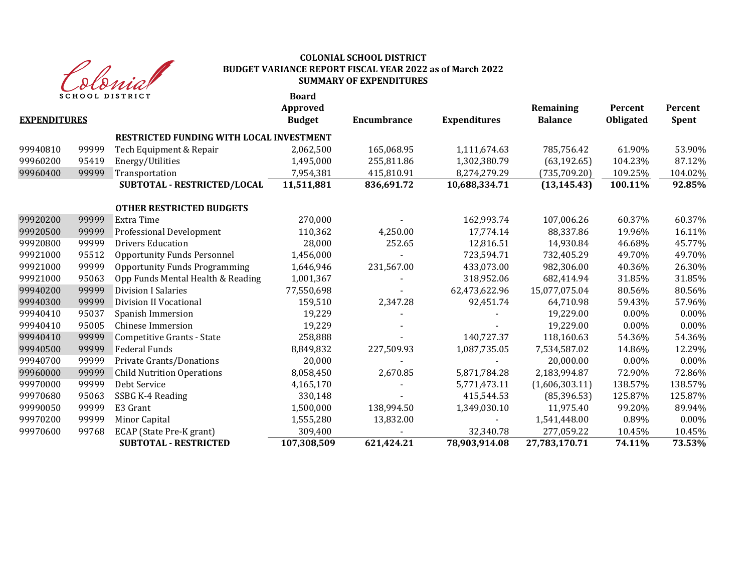

|                     |       | <b>SCHOOL DISTRICT</b>                   | <b>Board</b><br><b>Approved</b> |                    |                     | Remaining      | Percent   | Percent      |
|---------------------|-------|------------------------------------------|---------------------------------|--------------------|---------------------|----------------|-----------|--------------|
| <b>EXPENDITURES</b> |       |                                          | <b>Budget</b>                   | <b>Encumbrance</b> | <b>Expenditures</b> | <b>Balance</b> | Obligated | <b>Spent</b> |
|                     |       | RESTRICTED FUNDING WITH LOCAL INVESTMENT |                                 |                    |                     |                |           |              |
| 99940810            | 99999 | Tech Equipment & Repair                  | 2,062,500                       | 165,068.95         | 1,111,674.63        | 785,756.42     | 61.90%    | 53.90%       |
| 99960200            | 95419 | Energy/Utilities                         | 1,495,000                       | 255,811.86         | 1,302,380.79        | (63, 192.65)   | 104.23%   | 87.12%       |
| 99960400            | 99999 | Transportation                           | 7,954,381                       | 415,810.91         | 8,274,279.29        | (735, 709.20)  | 109.25%   | 104.02%      |
|                     |       | SUBTOTAL - RESTRICTED/LOCAL              | 11,511,881                      | 836,691.72         | 10,688,334.71       | (13, 145.43)   | 100.11%   | 92.85%       |
|                     |       | <b>OTHER RESTRICTED BUDGETS</b>          |                                 |                    |                     |                |           |              |
| 99920200            | 99999 | Extra Time                               | 270,000                         |                    | 162,993.74          | 107,006.26     | 60.37%    | 60.37%       |
| 99920500            | 99999 | Professional Development                 | 110,362                         | 4,250.00           | 17,774.14           | 88,337.86      | 19.96%    | 16.11%       |
| 99920800            | 99999 | <b>Drivers Education</b>                 | 28,000                          | 252.65             | 12,816.51           | 14,930.84      | 46.68%    | 45.77%       |
| 99921000            | 95512 | <b>Opportunity Funds Personnel</b>       | 1,456,000                       |                    | 723,594.71          | 732,405.29     | 49.70%    | 49.70%       |
| 99921000            | 99999 | <b>Opportunity Funds Programming</b>     | 1,646,946                       | 231,567.00         | 433,073.00          | 982,306.00     | 40.36%    | 26.30%       |
| 99921000            | 95063 | Opp Funds Mental Health & Reading        | 1,001,367                       |                    | 318,952.06          | 682,414.94     | 31.85%    | 31.85%       |
| 99940200            | 99999 | <b>Division I Salaries</b>               | 77,550,698                      |                    | 62,473,622.96       | 15,077,075.04  | 80.56%    | 80.56%       |
| 99940300            | 99999 | Division II Vocational                   | 159,510                         | 2,347.28           | 92,451.74           | 64,710.98      | 59.43%    | 57.96%       |
| 99940410            | 95037 | Spanish Immersion                        | 19,229                          |                    |                     | 19,229.00      | $0.00\%$  | $0.00\%$     |
| 99940410            | 95005 | <b>Chinese Immersion</b>                 | 19,229                          |                    |                     | 19,229.00      | $0.00\%$  | 0.00%        |
| 99940410            | 99999 | Competitive Grants - State               | 258,888                         |                    | 140,727.37          | 118,160.63     | 54.36%    | 54.36%       |
| 99940500            | 99999 | <b>Federal Funds</b>                     | 8,849,832                       | 227,509.93         | 1,087,735.05        | 7,534,587.02   | 14.86%    | 12.29%       |
| 99940700            | 99999 | Private Grants/Donations                 | 20,000                          |                    |                     | 20,000.00      | 0.00%     | 0.00%        |
| 99960000            | 99999 | <b>Child Nutrition Operations</b>        | 8,058,450                       | 2,670.85           | 5,871,784.28        | 2,183,994.87   | 72.90%    | 72.86%       |
| 99970000            | 99999 | Debt Service                             | 4,165,170                       |                    | 5,771,473.11        | (1,606,303.11) | 138.57%   | 138.57%      |
| 99970680            | 95063 | SSBG K-4 Reading                         | 330,148                         |                    | 415,544.53          | (85, 396.53)   | 125.87%   | 125.87%      |
| 99990050            | 99999 | E3 Grant                                 | 1,500,000                       | 138,994.50         | 1,349,030.10        | 11,975.40      | 99.20%    | 89.94%       |
| 99970200            | 99999 | Minor Capital                            | 1,555,280                       | 13,832.00          |                     | 1,541,448.00   | 0.89%     | $0.00\%$     |
| 99970600            | 99768 | ECAP (State Pre-K grant)                 | 309,400                         |                    | 32,340.78           | 277,059.22     | 10.45%    | 10.45%       |
|                     |       | <b>SUBTOTAL - RESTRICTED</b>             | 107,308,509                     | 621,424.21         | 78,903,914.08       | 27,783,170.71  | 74.11%    | 73.53%       |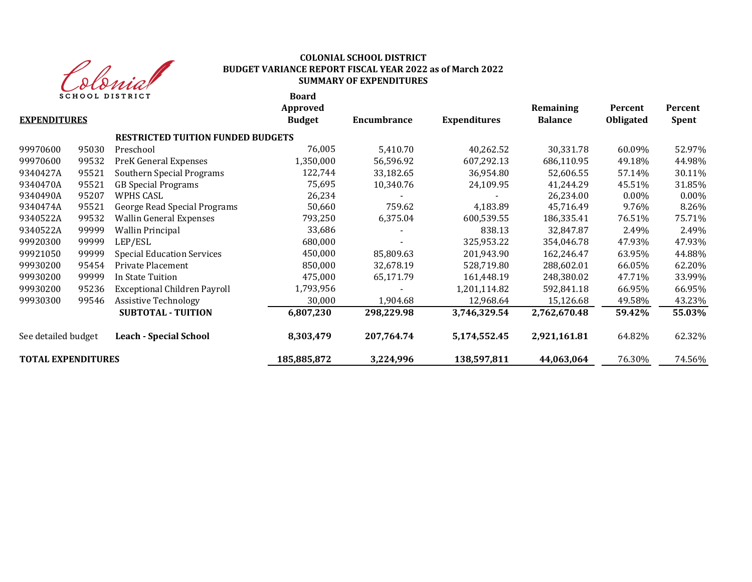

| <b>EXPENDITURES</b>       |       | <b>SCHOOL DISTRICT</b>                   | <b>Board</b><br>Approved<br><b>Budget</b> | <b>Encumbrance</b> | <b>Expenditures</b> | Remaining<br><b>Balance</b> | Percent<br><b>Obligated</b> | Percent<br><b>Spent</b> |
|---------------------------|-------|------------------------------------------|-------------------------------------------|--------------------|---------------------|-----------------------------|-----------------------------|-------------------------|
|                           |       | <b>RESTRICTED TUITION FUNDED BUDGETS</b> |                                           |                    |                     |                             |                             |                         |
| 99970600                  | 95030 | Preschool                                | 76,005                                    | 5,410.70           | 40,262.52           | 30,331.78                   | 60.09%                      | 52.97%                  |
| 99970600                  | 99532 | PreK General Expenses                    | 1,350,000                                 | 56,596.92          | 607,292.13          | 686,110.95                  | 49.18%                      | 44.98%                  |
| 9340427A                  | 95521 | Southern Special Programs                | 122,744                                   | 33,182.65          | 36,954.80           | 52,606.55                   | 57.14%                      | 30.11%                  |
| 9340470A                  | 95521 | <b>GB</b> Special Programs               | 75,695                                    | 10,340.76          | 24,109.95           | 41,244.29                   | 45.51%                      | 31.85%                  |
| 9340490A                  | 95207 | WPHS CASL                                | 26,234                                    |                    |                     | 26,234.00                   | $0.00\%$                    | 0.00%                   |
| 9340474A                  | 95521 | George Read Special Programs             | 50,660                                    | 759.62             | 4,183.89            | 45,716.49                   | 9.76%                       | 8.26%                   |
| 9340522A                  | 99532 | <b>Wallin General Expenses</b>           | 793,250                                   | 6,375.04           | 600,539.55          | 186,335.41                  | 76.51%                      | 75.71%                  |
| 9340522A                  | 99999 | <b>Wallin Principal</b>                  | 33,686                                    |                    | 838.13              | 32,847.87                   | 2.49%                       | 2.49%                   |
| 99920300                  | 99999 | LEP/ESL                                  | 680,000                                   |                    | 325,953.22          | 354,046.78                  | 47.93%                      | 47.93%                  |
| 99921050                  | 99999 | <b>Special Education Services</b>        | 450,000                                   | 85,809.63          | 201,943.90          | 162,246.47                  | 63.95%                      | 44.88%                  |
| 99930200                  | 95454 | Private Placement                        | 850,000                                   | 32,678.19          | 528,719.80          | 288,602.01                  | 66.05%                      | 62.20%                  |
| 99930200                  | 99999 | In State Tuition                         | 475,000                                   | 65,171.79          | 161,448.19          | 248,380.02                  | 47.71%                      | 33.99%                  |
| 99930200                  | 95236 | <b>Exceptional Children Payroll</b>      | 1,793,956                                 |                    | 1,201,114.82        | 592,841.18                  | 66.95%                      | 66.95%                  |
| 99930300                  | 99546 | <b>Assistive Technology</b>              | 30,000                                    | 1,904.68           | 12,968.64           | 15,126.68                   | 49.58%                      | 43.23%                  |
|                           |       | <b>SUBTOTAL - TUITION</b>                | 6,807,230                                 | 298,229.98         | 3,746,329.54        | 2,762,670.48                | 59.42%                      | 55.03%                  |
| See detailed budget       |       | <b>Leach - Special School</b>            | 8,303,479                                 | 207,764.74         | 5,174,552.45        | 2,921,161.81                | 64.82%                      | 62.32%                  |
| <b>TOTAL EXPENDITURES</b> |       |                                          | 185,885,872                               | 3,224,996          | 138,597,811         | 44,063,064                  | 76.30%                      | 74.56%                  |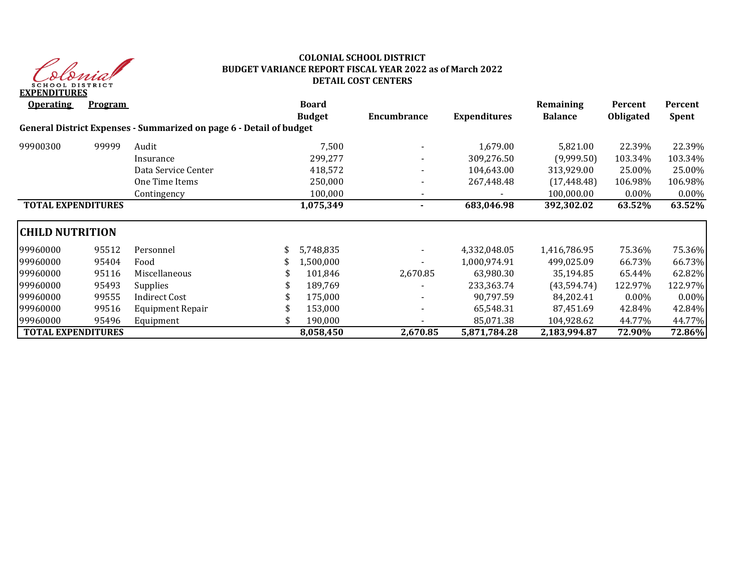

## **COLONIAL SCHOOL DISTRICT BUDGET VARIANCE REPORT FISCAL YEAR 2022 as of March 2022 DETAIL COST CENTERS**

| <b>Operating</b>          | <b>Program</b> |                                                                     | <b>Board</b>  |                          |                     | Remaining      | Percent          | Percent      |
|---------------------------|----------------|---------------------------------------------------------------------|---------------|--------------------------|---------------------|----------------|------------------|--------------|
|                           |                |                                                                     | <b>Budget</b> | Encumbrance              | <b>Expenditures</b> | <b>Balance</b> | <b>Obligated</b> | <b>Spent</b> |
|                           |                | General District Expenses - Summarized on page 6 - Detail of budget |               |                          |                     |                |                  |              |
| 99900300                  | 99999          | Audit                                                               | 7,500         |                          | 1,679.00            | 5,821.00       | 22.39%           | 22.39%       |
|                           |                | Insurance                                                           | 299,277       | $\overline{\phantom{0}}$ | 309,276.50          | (9,999.50)     | 103.34%          | 103.34%      |
|                           |                | Data Service Center                                                 | 418,572       |                          | 104,643.00          | 313,929.00     | 25.00%           | 25.00%       |
|                           |                | One Time Items                                                      | 250,000       |                          | 267,448.48          | (17, 448.48)   | 106.98%          | 106.98%      |
|                           |                | Contingency                                                         | 100,000       | $\overline{\phantom{a}}$ |                     | 100,000.00     | $0.00\%$         | $0.00\%$     |
| <b>TOTAL EXPENDITURES</b> |                |                                                                     | 1,075,349     | $\sim$                   | 683,046.98          | 392,302.02     | 63.52%           | 63.52%       |
| <b>CHILD NUTRITION</b>    |                |                                                                     |               |                          |                     |                |                  |              |
| 99960000                  | 95512          | Personnel                                                           | 5,748,835     |                          | 4,332,048.05        | 1,416,786.95   | 75.36%           | 75.36%       |
| 99960000                  | 95404          | Food                                                                | 1,500,000     |                          | 1,000,974.91        | 499,025.09     | 66.73%           | 66.73%       |
| 99960000                  | 95116          | Miscellaneous                                                       | 101,846       | 2,670.85                 | 63,980.30           | 35,194.85      | 65.44%           | 62.82%       |
| 99960000                  | 95493          | Supplies                                                            | 189,769       |                          | 233,363.74          | (43, 594.74)   | 122.97%          | 122.97%      |
| 99960000                  | 99555          | <b>Indirect Cost</b>                                                | 175,000       |                          | 90,797.59           | 84,202.41      | $0.00\%$         | 0.00%        |
| 99960000                  | 99516          | <b>Equipment Repair</b>                                             | 153,000       |                          | 65,548.31           | 87,451.69      | 42.84%           | 42.84%       |
| 99960000                  | 95496          | Equipment                                                           | 190,000       |                          | 85,071.38           | 104,928.62     | 44.77%           | 44.77%       |
| <b>TOTAL EXPENDITURES</b> |                |                                                                     | 8,058,450     | 2,670.85                 | 5,871,784.28        | 2,183,994.87   | 72.90%           | 72.86%       |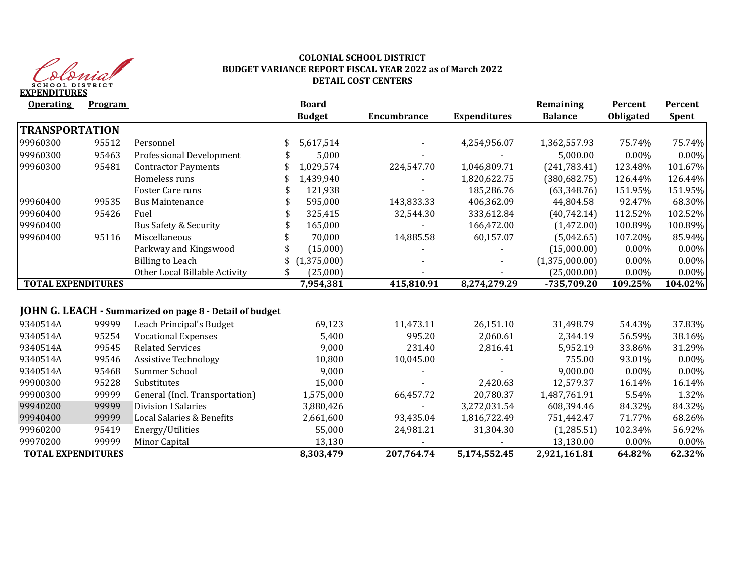

## **COLONIAL SCHOOL DISTRICT BUDGET VARIANCE REPORT FISCAL YEAR 2022 as of March 2022 DETAIL COST CENTERS**

| <b>Operating</b>          | <b>Program</b> |                                                         | <b>Board</b>   |                    |                     | Remaining      | Percent   | Percent      |
|---------------------------|----------------|---------------------------------------------------------|----------------|--------------------|---------------------|----------------|-----------|--------------|
|                           |                |                                                         | <b>Budget</b>  | <b>Encumbrance</b> | <b>Expenditures</b> | <b>Balance</b> | Obligated | <b>Spent</b> |
| <b>TRANSPORTATION</b>     |                |                                                         |                |                    |                     |                |           |              |
| 99960300                  | 95512          | Personnel                                               | 5,617,514      |                    | 4,254,956.07        | 1,362,557.93   | 75.74%    | 75.74%       |
| 99960300                  | 95463          | Professional Development                                | 5,000          |                    |                     | 5,000.00       | $0.00\%$  | 0.00%        |
| 99960300                  | 95481          | <b>Contractor Payments</b>                              | 1,029,574      | 224,547.70         | 1,046,809.71        | (241, 783.41)  | 123.48%   | 101.67%      |
|                           |                | Homeless runs                                           | 1,439,940      |                    | 1,820,622.75        | (380, 682.75)  | 126.44%   | 126.44%      |
|                           |                | Foster Care runs                                        | 121,938        |                    | 185,286.76          | (63, 348.76)   | 151.95%   | 151.95%      |
| 99960400                  | 99535          | <b>Bus Maintenance</b>                                  | 595,000        | 143,833.33         | 406,362.09          | 44,804.58      | 92.47%    | 68.30%       |
| 99960400                  | 95426          | Fuel                                                    | 325,415        | 32,544.30          | 333,612.84          | (40,742.14)    | 112.52%   | 102.52%      |
| 99960400                  |                | <b>Bus Safety &amp; Security</b>                        | 165,000        |                    | 166,472.00          | (1,472.00)     | 100.89%   | 100.89%      |
| 99960400                  | 95116          | Miscellaneous                                           | 70,000         | 14,885.58          | 60,157.07           | (5,042.65)     | 107.20%   | 85.94%       |
|                           |                | Parkway and Kingswood                                   | (15,000)       |                    |                     | (15,000.00)    | $0.00\%$  | 0.00%        |
|                           |                | <b>Billing to Leach</b>                                 | (1,375,000)    |                    |                     | (1,375,000.00) | $0.00\%$  | 0.00%        |
|                           |                | Other Local Billable Activity                           | \$<br>(25,000) |                    |                     | (25,000.00)    | 0.00%     | 0.00%        |
| <b>TOTAL EXPENDITURES</b> |                |                                                         | 7,954,381      | 415,810.91         | 8,274,279.29        | -735,709.20    | 109.25%   | 104.02%      |
|                           |                |                                                         |                |                    |                     |                |           |              |
|                           |                | JOHN G. LEACH - Summarized on page 8 - Detail of budget |                |                    |                     |                |           |              |
| 9340514A                  | 99999          | Leach Principal's Budget                                | 69,123         | 11,473.11          | 26,151.10           | 31,498.79      | 54.43%    | 37.83%       |
| 9340514A                  | 95254          | <b>Vocational Expenses</b>                              | 5,400          | 995.20             | 2,060.61            | 2,344.19       | 56.59%    | 38.16%       |
| 9340514A                  | 99545          | <b>Related Services</b>                                 | 9,000          | 231.40             | 2,816.41            | 5,952.19       | 33.86%    | 31.29%       |
| 9340514A                  | 99546          | <b>Assistive Technology</b>                             | 10,800         | 10,045.00          |                     | 755.00         | 93.01%    | 0.00%        |
| 9340514A                  | 95468          | Summer School                                           | 9,000          |                    |                     | 9,000.00       | $0.00\%$  | 0.00%        |
| 99900300                  | 95228          | Substitutes                                             | 15,000         |                    | 2,420.63            | 12,579.37      | 16.14%    | 16.14%       |
| 99900300                  | 99999          | General (Incl. Transportation)                          | 1,575,000      | 66,457.72          | 20,780.37           | 1,487,761.91   | 5.54%     | 1.32%        |
| 99940200                  | 99999          | <b>Division I Salaries</b>                              | 3,880,426      |                    | 3,272,031.54        | 608,394.46     | 84.32%    | 84.32%       |
| 99940400                  | 99999          | Local Salaries & Benefits                               | 2,661,600      | 93,435.04          | 1,816,722.49        | 751,442.47     | 71.77%    | 68.26%       |
| 99960200                  | 95419          | Energy/Utilities                                        | 55,000         | 24,981.21          | 31,304.30           | (1,285.51)     | 102.34%   | 56.92%       |
| 99970200                  | 99999          | Minor Capital                                           | 13,130         |                    |                     | 13,130.00      | 0.00%     | 0.00%        |
| <b>TOTAL EXPENDITURES</b> |                |                                                         | 8,303,479      | 207,764.74         | 5,174,552.45        | 2,921,161.81   | 64.82%    | 62.32%       |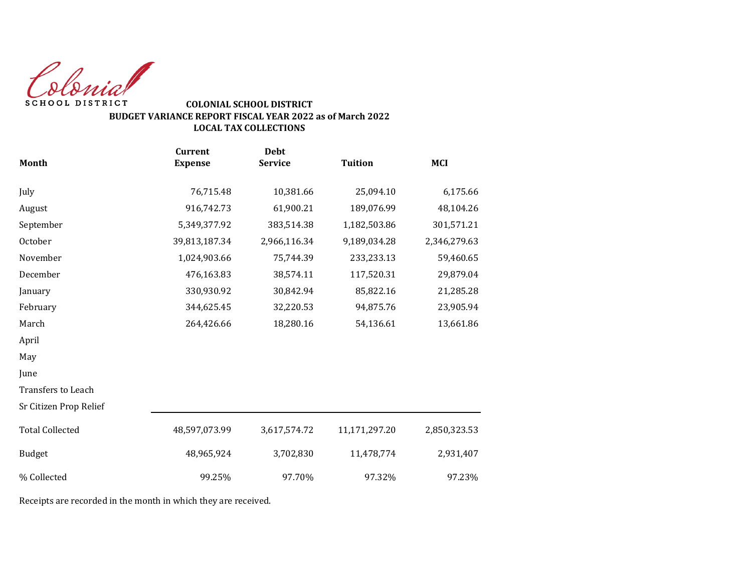Colonial SCHOOL DISTRICT

## **COLONIAL SCHOOL DISTRICT BUDGET VARIANCE REPORT FISCAL YEAR 2022 as of March 2022 LOCAL TAX COLLECTIONS**

|                        | <b>Current</b> | <b>Debt</b>    |                |              |
|------------------------|----------------|----------------|----------------|--------------|
| <b>Month</b>           | <b>Expense</b> | <b>Service</b> | <b>Tuition</b> | <b>MCI</b>   |
| July                   | 76,715.48      | 10,381.66      | 25,094.10      | 6,175.66     |
| August                 | 916,742.73     | 61,900.21      | 189,076.99     | 48,104.26    |
| September              | 5,349,377.92   | 383,514.38     | 1,182,503.86   | 301,571.21   |
| October                | 39,813,187.34  | 2,966,116.34   | 9,189,034.28   | 2,346,279.63 |
| November               | 1,024,903.66   | 75,744.39      | 233,233.13     | 59,460.65    |
| December               | 476,163.83     | 38,574.11      | 117,520.31     | 29,879.04    |
| January                | 330,930.92     | 30,842.94      | 85,822.16      | 21,285.28    |
| February               | 344,625.45     | 32,220.53      | 94,875.76      | 23,905.94    |
| March                  | 264,426.66     | 18,280.16      | 54,136.61      | 13,661.86    |
| April                  |                |                |                |              |
| May                    |                |                |                |              |
| June                   |                |                |                |              |
| Transfers to Leach     |                |                |                |              |
| Sr Citizen Prop Relief |                |                |                |              |
| <b>Total Collected</b> | 48,597,073.99  | 3,617,574.72   | 11,171,297.20  | 2,850,323.53 |
| <b>Budget</b>          | 48,965,924     | 3,702,830      | 11,478,774     | 2,931,407    |
| % Collected            | 99.25%         | 97.70%         | 97.32%         | 97.23%       |

Receipts are recorded in the month in which they are received.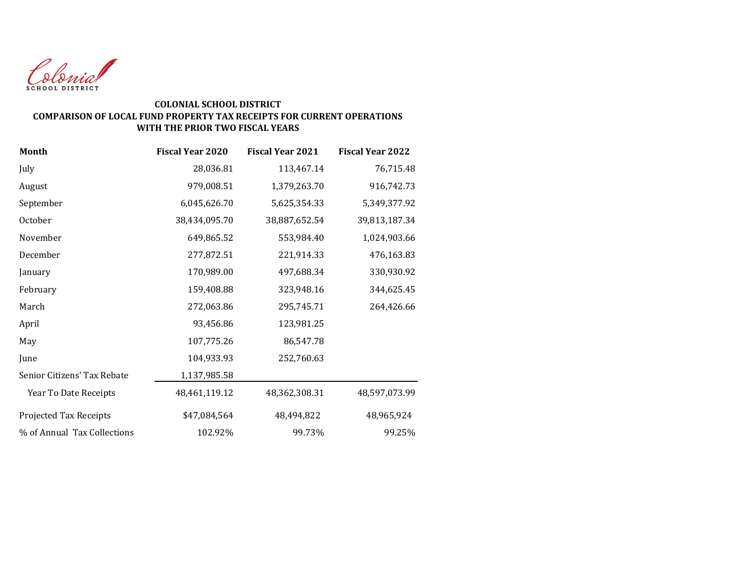

### **COLONIAL SCHOOL DISTRICT COMPARISON OF LOCAL FUND PROPERTY TAX RECEIPTS FOR CURRENT OPERATIONS WITH THE PRIOR TWO FISCAL YEARS**

| Month                       | <b>Fiscal Year 2020</b> | <b>Fiscal Year 2021</b> | <b>Fiscal Year 2022</b> |
|-----------------------------|-------------------------|-------------------------|-------------------------|
| July                        | 28,036.81               | 113,467.14              | 76,715.48               |
| August                      | 979,008.51              | 1,379,263.70            | 916,742.73              |
| September                   | 6,045,626.70            | 5,625,354.33            | 5,349,377.92            |
| October                     | 38,434,095.70           | 38,887,652.54           | 39,813,187.34           |
| November                    | 649,865.52              | 553,984.40              | 1,024,903.66            |
| December                    | 277,872.51              | 221,914.33              | 476,163.83              |
| January                     | 170,989.00              | 497,688.34              | 330,930.92              |
| February                    | 159,408.88              | 323,948.16              | 344,625.45              |
| March                       | 272,063.86              | 295,745.71              | 264,426.66              |
| April                       | 93,456.86               | 123,981.25              |                         |
| May                         | 107,775.26              | 86,547.78               |                         |
| June                        | 104,933.93              | 252,760.63              |                         |
| Senior Citizens' Tax Rebate | 1,137,985.58            |                         |                         |
| Year To Date Receipts       | 48,461,119.12           | 48,362,308.31           | 48,597,073.99           |
| Projected Tax Receipts      | \$47,084,564            | 48,494,822              | 48,965,924              |
| % of Annual Tax Collections | 102.92%                 | 99.73%                  | 99.25%                  |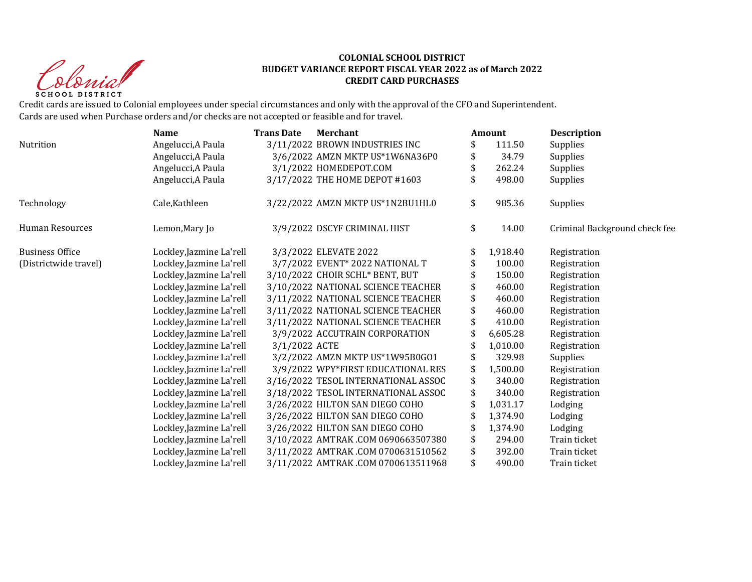Clerid SCHOOL DISTRICT

### **COLONIAL SCHOOL DISTRICT BUDGET VARIANCE REPORT FISCAL YEAR 2022 as of March 2022 CREDIT CARD PURCHASES**

Credit cards are issued to Colonial employees under special circumstances and only with the approval of the CFO and Superintendent. Cards are used when Purchase orders and/or checks are not accepted or feasible and for travel.

|                       | <b>Name</b>              | <b>Trans Date</b> | <b>Merchant</b>                     | Amount       | <b>Description</b>            |
|-----------------------|--------------------------|-------------------|-------------------------------------|--------------|-------------------------------|
| Nutrition             | Angelucci, A Paula       |                   | 3/11/2022 BROWN INDUSTRIES INC      | 111.50       | Supplies                      |
|                       | Angelucci, A Paula       |                   | 3/6/2022 AMZN MKTP US*1W6NA36P0     | 34.79        | Supplies                      |
|                       | Angelucci, A Paula       |                   | 3/1/2022 HOMEDEPOT.COM              | 262.24       | Supplies                      |
|                       | Angelucci, A Paula       |                   | 3/17/2022 THE HOME DEPOT #1603      | 498.00       | Supplies                      |
| Technology            | Cale, Kathleen           |                   | 3/22/2022 AMZN MKTP US*1N2BU1HL0    | \$<br>985.36 | Supplies                      |
| Human Resources       | Lemon, Mary Jo           |                   | 3/9/2022 DSCYF CRIMINAL HIST        | \$<br>14.00  | Criminal Background check fee |
| Business Office       | Lockley, Jazmine La'rell |                   | 3/3/2022 ELEVATE 2022               | 1,918.40     | Registration                  |
| (Districtwide travel) | Lockley, Jazmine La'rell |                   | 3/7/2022 EVENT* 2022 NATIONAL T     | 100.00       | Registration                  |
|                       | Lockley, Jazmine La'rell |                   | 3/10/2022 CHOIR SCHL* BENT, BUT     | 150.00       | Registration                  |
|                       | Lockley, Jazmine La'rell |                   | 3/10/2022 NATIONAL SCIENCE TEACHER  | 460.00       | Registration                  |
|                       | Lockley, Jazmine La'rell |                   | 3/11/2022 NATIONAL SCIENCE TEACHER  | \$<br>460.00 | Registration                  |
|                       | Lockley, Jazmine La'rell |                   | 3/11/2022 NATIONAL SCIENCE TEACHER  | 460.00       | Registration                  |
|                       | Lockley, Jazmine La'rell |                   | 3/11/2022 NATIONAL SCIENCE TEACHER  | 410.00       | Registration                  |
|                       | Lockley, Jazmine La'rell |                   | 3/9/2022 ACCUTRAIN CORPORATION      | 6,605.28     | Registration                  |
|                       | Lockley, Jazmine La'rell | 3/1/2022 ACTE     |                                     | 1,010.00     | Registration                  |
|                       | Lockley, Jazmine La'rell |                   | 3/2/2022 AMZN MKTP US*1W95B0G01     | 329.98       | Supplies                      |
|                       | Lockley, Jazmine La'rell |                   | 3/9/2022 WPY*FIRST EDUCATIONAL RES  | 1,500.00     | Registration                  |
|                       | Lockley, Jazmine La'rell |                   | 3/16/2022 TESOL INTERNATIONAL ASSOC | 340.00       | Registration                  |
|                       | Lockley, Jazmine La'rell |                   | 3/18/2022 TESOL INTERNATIONAL ASSOC | 340.00       | Registration                  |
|                       | Lockley, Jazmine La'rell |                   | 3/26/2022 HILTON SAN DIEGO COHO     | 1,031.17     | Lodging                       |
|                       | Lockley, Jazmine La'rell |                   | 3/26/2022 HILTON SAN DIEGO COHO     | 1,374.90     | Lodging                       |
|                       | Lockley, Jazmine La'rell |                   | 3/26/2022 HILTON SAN DIEGO COHO     | 1,374.90     | Lodging                       |
|                       | Lockley, Jazmine La'rell |                   | 3/10/2022 AMTRAK.COM 0690663507380  | 294.00       | Train ticket                  |
|                       | Lockley, Jazmine La'rell |                   | 3/11/2022 AMTRAK.COM 0700631510562  | 392.00       | Train ticket                  |
|                       | Lockley, Jazmine La'rell |                   | 3/11/2022 AMTRAK.COM 0700613511968  | \$<br>490.00 | Train ticket                  |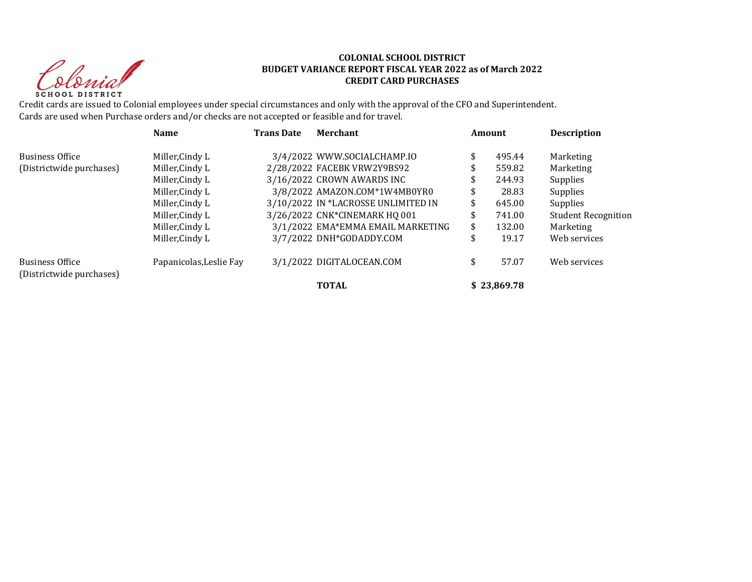Clerid SCHOOL DISTRICT

### **COLONIAL SCHOOL DISTRICT BUDGET VARIANCE REPORT FISCAL YEAR 2022 as of March 2022 CREDIT CARD PURCHASES**

Credit cards are issued to Colonial employees under special circumstances and only with the approval of the CFO and Superintendent. Cards are used when Purchase orders and/or checks are not accepted or feasible and for travel.

|                                                    | <b>Name</b>             | <b>Trans Date</b> | <b>Merchant</b>                     | Amount       | <b>Description</b>         |
|----------------------------------------------------|-------------------------|-------------------|-------------------------------------|--------------|----------------------------|
| <b>Business Office</b>                             | Miller, Cindy L         |                   | 3/4/2022 WWW.SOCIALCHAMP.IO         | 495.44       | Marketing                  |
| (Districtwide purchases)                           | Miller, Cindy L         |                   | 2/28/2022 FACEBK VRW2Y9BS92         | \$<br>559.82 | Marketing                  |
|                                                    | Miller, Cindy L         |                   | 3/16/2022 CROWN AWARDS INC          | \$<br>244.93 | Supplies                   |
|                                                    | Miller, Cindy L         |                   | 3/8/2022 AMAZON.COM*1W4MB0YR0       | \$<br>28.83  | Supplies                   |
|                                                    | Miller, Cindy L         |                   | 3/10/2022 IN *LACROSSE UNLIMITED IN | \$<br>645.00 | Supplies                   |
|                                                    | Miller, Cindy L         |                   | 3/26/2022 CNK*CINEMARK HQ 001       | \$<br>741.00 | <b>Student Recognition</b> |
|                                                    | Miller, Cindy L         |                   | 3/1/2022 EMA*EMMA EMAIL MARKETING   | \$<br>132.00 | Marketing                  |
|                                                    | Miller, Cindy L         |                   | 3/7/2022 DNH*GODADDY.COM            | \$<br>19.17  | Web services               |
| <b>Business Office</b><br>(Districtwide purchases) | Papanicolas, Leslie Fay |                   | 3/1/2022 DIGITALOCEAN.COM           | \$<br>57.07  | Web services               |
|                                                    |                         |                   | <b>TOTAL</b>                        | \$23.869.78  |                            |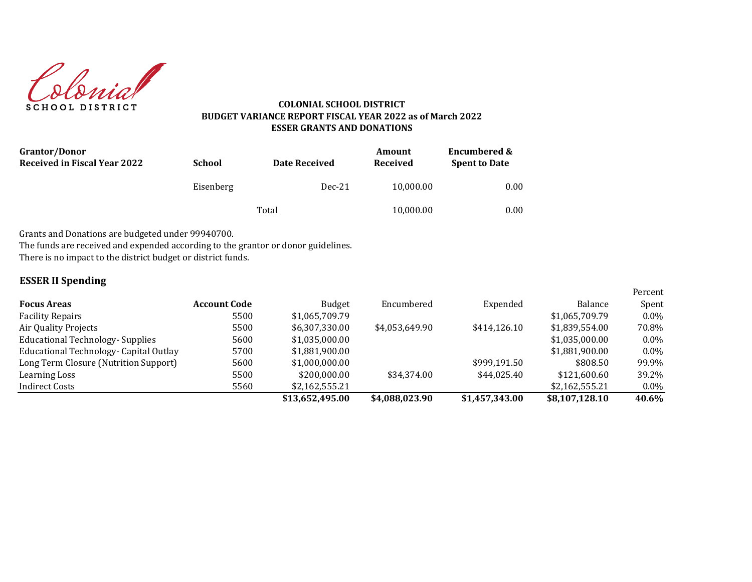

### **COLONIAL SCHOOL DISTRICT BUDGET VARIANCE REPORT FISCAL YEAR 2022 as of March 2022 ESSER GRANTS AND DONATIONS**

| <b>Grantor/Donor</b><br><b>Received in Fiscal Year 2022</b> | <b>School</b> | Date Received | Amount<br>Received | <b>Encumbered &amp;</b><br><b>Spent to Date</b> |  |
|-------------------------------------------------------------|---------------|---------------|--------------------|-------------------------------------------------|--|
|                                                             | Eisenberg     | $Dec-21$      | 10,000.00          | 0.00                                            |  |
|                                                             |               | Total         | 10,000.00          | 0.00                                            |  |

Grants and Donations are budgeted under 99940700.

The funds are received and expended according to the grantor or donor guidelines.

There is no impact to the district budget or district funds.

## **ESSER II Spending**

|                                         |              |                 |                |                |                | Percent |
|-----------------------------------------|--------------|-----------------|----------------|----------------|----------------|---------|
| <b>Focus Areas</b>                      | Account Code | <b>Budget</b>   | Encumbered     | Expended       | Balance        | Spent   |
| <b>Facility Repairs</b>                 | 5500         | \$1,065,709.79  |                |                | \$1,065,709.79 | $0.0\%$ |
| Air Quality Projects                    | 5500         | \$6.307.330.00  | \$4.053.649.90 | \$414.126.10   | \$1,839,554.00 | 70.8%   |
| <b>Educational Technology- Supplies</b> | 5600         | \$1,035,000.00  |                |                | \$1,035,000.00 | $0.0\%$ |
| Educational Technology- Capital Outlay  | 5700         | \$1,881,900.00  |                |                | \$1,881,900.00 | $0.0\%$ |
| Long Term Closure (Nutrition Support)   | 5600         | \$1,000,000.00  |                | \$999,191.50   | \$808.50       | 99.9%   |
| Learning Loss                           | 5500         | \$200,000,00    | \$34,374.00    | \$44,025.40    | \$121,600,60   | 39.2%   |
| <b>Indirect Costs</b>                   | 5560         | \$2,162,555.21  |                |                | \$2,162,555.21 | $0.0\%$ |
|                                         |              | \$13,652,495.00 | \$4,088,023.90 | \$1,457,343.00 | \$8,107,128.10 | 40.6%   |